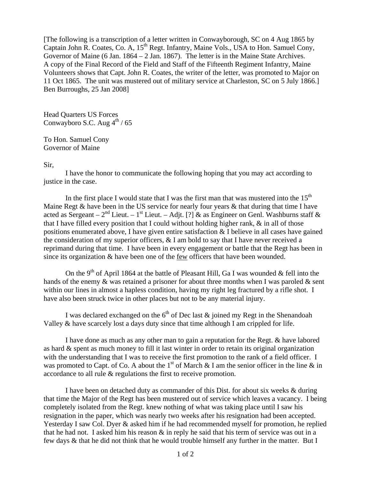[The following is a transcription of a letter written in Conwayborough, SC on 4 Aug 1865 by Captain John R. Coates, Co. A, 15<sup>th</sup> Regt. Infantry, Maine Vols., USA to Hon. Samuel Cony, Governor of Maine (6 Jan. 1864 – 2 Jan. 1867). The letter is in the Maine State Archives. A copy of the Final Record of the Field and Staff of the Fifteenth Regiment Infantry, Maine Volunteers shows that Capt. John R. Coates, the writer of the letter, was promoted to Major on 11 Oct 1865. The unit was mustered out of military service at Charleston, SC on 5 July 1866.] Ben Burroughs, 25 Jan 2008]

Head Quarters US Forces Conwayboro S.C. Aug  $4^{\text{th}}$  / 65

To Hon. Samuel Cony Governor of Maine

## Sir,

 I have the honor to communicate the following hoping that you may act according to justice in the case.

In the first place I would state that I was the first man that was mustered into the  $15<sup>th</sup>$ Maine Regt & have been in the US service for nearly four years & that during that time I have acted as Sergeant –  $2^{nd}$  Lieut. –  $1^{st}$  Lieut. – Adjt. [?] & as Engineer on Genl. Washburns staff & that I have filled every position that I could without holding higher rank, & in all of those positions enumerated above, I have given entire satisfaction & I believe in all cases have gained the consideration of my superior officers,  $&$  I am bold to say that I have never received a reprimand during that time. I have been in every engagement or battle that the Regt has been in since its organization  $\&$  have been one of the <u>few</u> officers that have been wounded.

On the 9<sup>th</sup> of April 1864 at the battle of Pleasant Hill, Ga I was wounded & fell into the hands of the enemy  $\&$  was retained a prisoner for about three months when I was paroled  $\&$  sent within our lines in almost a hapless condition, having my right leg fractured by a rifle shot. I have also been struck twice in other places but not to be any material injury.

I was declared exchanged on the  $6<sup>th</sup>$  of Dec last  $\&$  joined my Regt in the Shenandoah Valley & have scarcely lost a days duty since that time although I am crippled for life.

 I have done as much as any other man to gain a reputation for the Regt. & have labored as hard & spent as much money to fill it last winter in order to retain its original organization with the understanding that I was to receive the first promotion to the rank of a field officer. I was promoted to Capt. of Co. A about the  $1<sup>st</sup>$  of March & I am the senior officer in the line & in accordance to all rule & regulations the first to receive promotion.

 I have been on detached duty as commander of this Dist. for about six weeks & during that time the Major of the Regt has been mustered out of service which leaves a vacancy. I being completely isolated from the Regt. knew nothing of what was taking place until I saw his resignation in the paper, which was nearly two weeks after his resignation had been accepted. Yesterday I saw Col. Dyer & asked him if he had recommended myself for promotion, he replied that he had not. I asked him his reason  $\&$  in reply he said that his term of service was out in a few days & that he did not think that he would trouble himself any further in the matter. But I